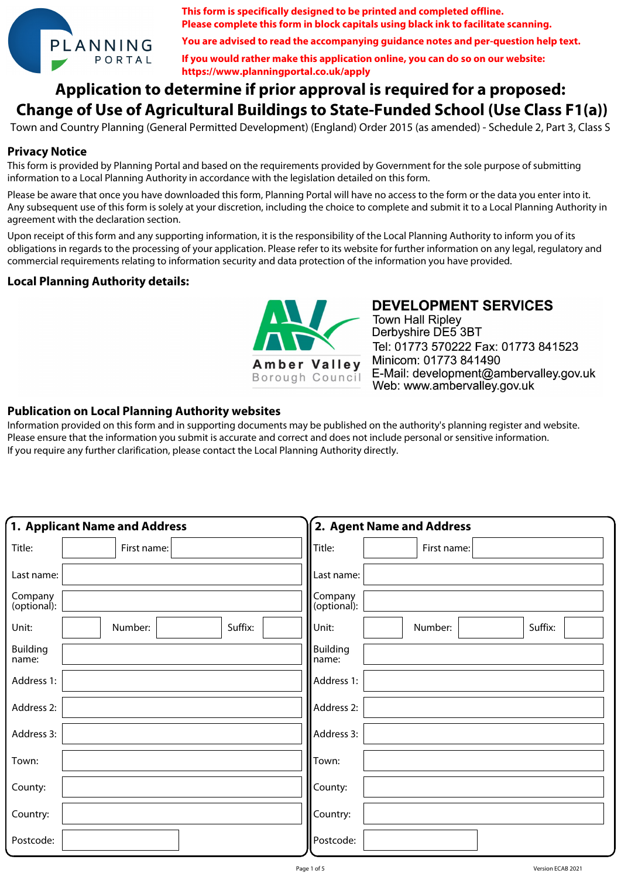

**This form is specifically designed to be printed and completed offline. Please complete this form in block capitals using black ink to facilitate scanning.**

**You are advised to read the accompanying guidance notes and per-question help text.**

**If you would rather make this application online, you can do so on our website: https://www.planningportal.co.uk/apply**

# **Application to determine if prior approval is required for a proposed: Change of Use of Agricultural Buildings to State-Funded School (Use Class F1(a))**

Town and Country Planning (General Permitted Development) (England) Order 2015 (as amended) - Schedule 2, Part 3, Class S

### **Privacy Notice**

This form is provided by Planning Portal and based on the requirements provided by Government for the sole purpose of submitting information to a Local Planning Authority in accordance with the legislation detailed on this form.

Please be aware that once you have downloaded this form, Planning Portal will have no access to the form or the data you enter into it. Any subsequent use of this form is solely at your discretion, including the choice to complete and submit it to a Local Planning Authority in agreement with the declaration section.

Upon receipt of this form and any supporting information, it is the responsibility of the Local Planning Authority to inform you of its obligations in regards to the processing of your application. Please refer to its website for further information on any legal, regulatory and commercial requirements relating to information security and data protection of the information you have provided.

### **Local Planning Authority details:**



**DEVELOPMENT SERVICES Town Hall Ripley** 

Derbyshire DE5 3BT Tel: 01773 570222 Fax: 01773 841523 Minicom: 01773 841490 E-Mail: development@ambervalley.gov.uk Web: www.ambervalley.gov.uk

### **Publication on Local Planning Authority websites**

Information provided on this form and in supporting documents may be published on the authority's planning register and website. Please ensure that the information you submit is accurate and correct and does not include personal or sensitive information. If you require any further clarification, please contact the Local Planning Authority directly.

|                          | 1. Applicant Name and Address |         |                          | 2. Agent Name and Address |         |
|--------------------------|-------------------------------|---------|--------------------------|---------------------------|---------|
| Title:                   | First name:                   |         | Title:                   | First name:               |         |
| Last name:               |                               |         | Last name:               |                           |         |
| Company<br>(optional):   |                               |         | Company<br>(optional):   |                           |         |
| Unit:                    | Number:                       | Suffix: | Unit:                    | Number:                   | Suffix: |
| <b>Building</b><br>name: |                               |         | <b>Building</b><br>name: |                           |         |
| Address 1:               |                               |         | Address 1:               |                           |         |
| Address 2:               |                               |         | Address 2:               |                           |         |
| Address 3:               |                               |         | Address 3:               |                           |         |
| Town:                    |                               |         | Town:                    |                           |         |
| County:                  |                               |         | County:                  |                           |         |
| Country:                 |                               |         | Country:                 |                           |         |
| Postcode:                |                               |         | Postcode:                |                           |         |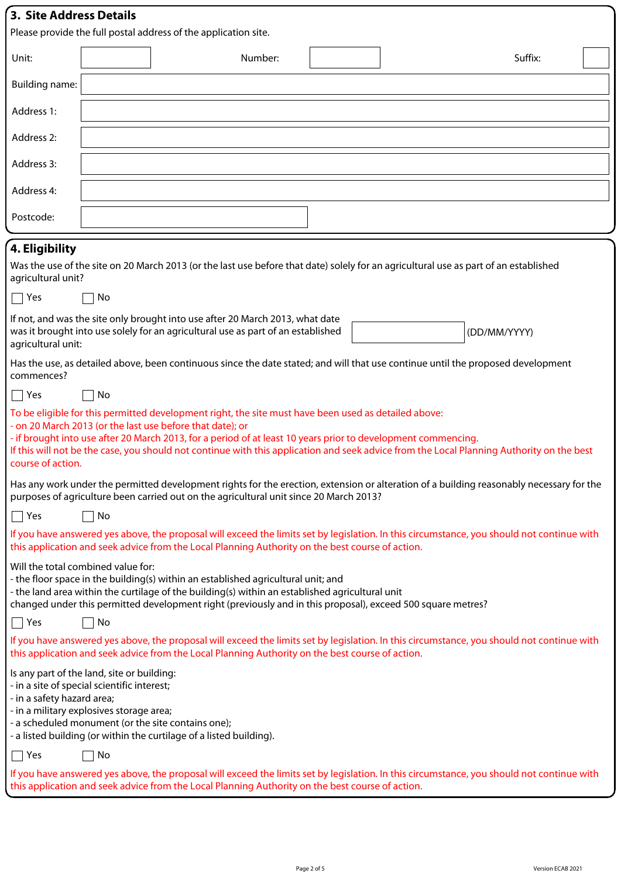| <b>3. Site Address Details</b>                                                                                                                                                                          |    |                                                                 |         |  |  |         |  |
|---------------------------------------------------------------------------------------------------------------------------------------------------------------------------------------------------------|----|-----------------------------------------------------------------|---------|--|--|---------|--|
|                                                                                                                                                                                                         |    | Please provide the full postal address of the application site. |         |  |  |         |  |
| Unit:                                                                                                                                                                                                   |    |                                                                 | Number: |  |  | Suffix: |  |
| <b>Building name:</b>                                                                                                                                                                                   |    |                                                                 |         |  |  |         |  |
| Address 1:                                                                                                                                                                                              |    |                                                                 |         |  |  |         |  |
| Address 2:                                                                                                                                                                                              |    |                                                                 |         |  |  |         |  |
| Address 3:                                                                                                                                                                                              |    |                                                                 |         |  |  |         |  |
| Address 4:                                                                                                                                                                                              |    |                                                                 |         |  |  |         |  |
| Postcode:                                                                                                                                                                                               |    |                                                                 |         |  |  |         |  |
| 4. Eligibility                                                                                                                                                                                          |    |                                                                 |         |  |  |         |  |
| Was the use of the site on 20 March 2013 (or the last use before that date) solely for an agricultural use as part of an established<br>agricultural unit?                                              |    |                                                                 |         |  |  |         |  |
| Yes<br>٦                                                                                                                                                                                                | No |                                                                 |         |  |  |         |  |
| If not, and was the site only brought into use after 20 March 2013, what date<br>was it brought into use solely for an agricultural use as part of an established<br>(DD/MM/YYYY)<br>agricultural unit: |    |                                                                 |         |  |  |         |  |
| Has the use, as detailed above, been continuous since the date stated; and will that use continue until the proposed development<br>commences?                                                          |    |                                                                 |         |  |  |         |  |
| $\Box$ Yes                                                                                                                                                                                              | No |                                                                 |         |  |  |         |  |
| To be eligible for this permitted development right, the site must have been used as detailed above:                                                                                                    |    |                                                                 |         |  |  |         |  |

- on 20 March 2013 (or the last use before that date); or

- if brought into use after 20 March 2013, for a period of at least 10 years prior to development commencing. If this will not be the case, you should not continue with this application and seek advice from the Local Planning Authority on the best course of action.

Has any work under the permitted development rights for the erection, extension or alteration of a building reasonably necessary for the purposes of agriculture been carried out on the agricultural unit since 20 March 2013?

| If you have answered yes above, the proposal will exceed the limits set by legislation. In this circumstance, you should not continue with |  |
|--------------------------------------------------------------------------------------------------------------------------------------------|--|
| this application and seek advice from the Local Planning Authority on the best course of action.                                           |  |

Will the total combined value for:

- the floor space in the building(s) within an established agricultural unit; and
- the land area within the curtilage of the building(s) within an established agricultural unit

changed under this permitted development right (previously and in this proposal), exceed 500 square metres?

 $\Box$  Yes  $\Box$  No

 $\Box$  Yes  $\Box$  No

If you have answered yes above, the proposal will exceed the limits set by legislation. In this circumstance, you should not continue with this application and seek advice from the Local Planning Authority on the best course of action.

Is any part of the land, site or building:

- in a site of special scientific interest;

- in a safety hazard area;

- in a military explosives storage area;

- a scheduled monument (or the site contains one);

- a listed building (or within the curtilage of a listed building).

| N٥<br>∨م∨<br>I |  |
|----------------|--|
|----------------|--|

If you have answered yes above, the proposal will exceed the limits set by legislation. In this circumstance, you should not continue with this application and seek advice from the Local Planning Authority on the best course of action.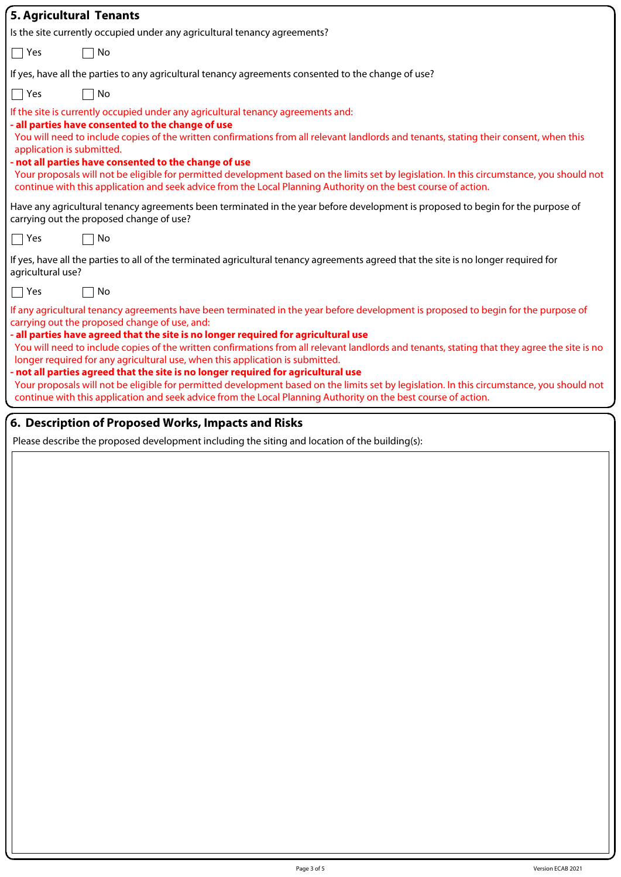| <b>5. Agricultural Tenants</b>                                                                                                                                                                                                                                                                                                                                                                                                                                                                                                                                                                                                                                                                                            |
|---------------------------------------------------------------------------------------------------------------------------------------------------------------------------------------------------------------------------------------------------------------------------------------------------------------------------------------------------------------------------------------------------------------------------------------------------------------------------------------------------------------------------------------------------------------------------------------------------------------------------------------------------------------------------------------------------------------------------|
| Is the site currently occupied under any agricultural tenancy agreements?                                                                                                                                                                                                                                                                                                                                                                                                                                                                                                                                                                                                                                                 |
| $\Box$ Yes<br>No                                                                                                                                                                                                                                                                                                                                                                                                                                                                                                                                                                                                                                                                                                          |
| If yes, have all the parties to any agricultural tenancy agreements consented to the change of use?                                                                                                                                                                                                                                                                                                                                                                                                                                                                                                                                                                                                                       |
| $\bigcap$ Yes<br>No                                                                                                                                                                                                                                                                                                                                                                                                                                                                                                                                                                                                                                                                                                       |
| If the site is currently occupied under any agricultural tenancy agreements and:<br>- all parties have consented to the change of use<br>You will need to include copies of the written confirmations from all relevant landlords and tenants, stating their consent, when this<br>application is submitted.<br>- not all parties have consented to the change of use<br>Your proposals will not be eligible for permitted development based on the limits set by legislation. In this circumstance, you should not<br>continue with this application and seek advice from the Local Planning Authority on the best course of action.                                                                                     |
| Have any agricultural tenancy agreements been terminated in the year before development is proposed to begin for the purpose of<br>carrying out the proposed change of use?                                                                                                                                                                                                                                                                                                                                                                                                                                                                                                                                               |
| $\bigcap$ Yes<br>No                                                                                                                                                                                                                                                                                                                                                                                                                                                                                                                                                                                                                                                                                                       |
| If yes, have all the parties to all of the terminated agricultural tenancy agreements agreed that the site is no longer required for<br>agricultural use?                                                                                                                                                                                                                                                                                                                                                                                                                                                                                                                                                                 |
| $\Box$ Yes<br>No<br>If any agricultural tenancy agreements have been terminated in the year before development is proposed to begin for the purpose of                                                                                                                                                                                                                                                                                                                                                                                                                                                                                                                                                                    |
| carrying out the proposed change of use, and:<br>- all parties have agreed that the site is no longer required for agricultural use<br>You will need to include copies of the written confirmations from all relevant landlords and tenants, stating that they agree the site is no<br>longer required for any agricultural use, when this application is submitted.<br>- not all parties agreed that the site is no longer required for agricultural use<br>Your proposals will not be eligible for permitted development based on the limits set by legislation. In this circumstance, you should not<br>continue with this application and seek advice from the Local Planning Authority on the best course of action. |
| 6. Description of Proposed Works, Impacts and Risks                                                                                                                                                                                                                                                                                                                                                                                                                                                                                                                                                                                                                                                                       |
| Please describe the proposed development including the siting and location of the building(s):                                                                                                                                                                                                                                                                                                                                                                                                                                                                                                                                                                                                                            |
|                                                                                                                                                                                                                                                                                                                                                                                                                                                                                                                                                                                                                                                                                                                           |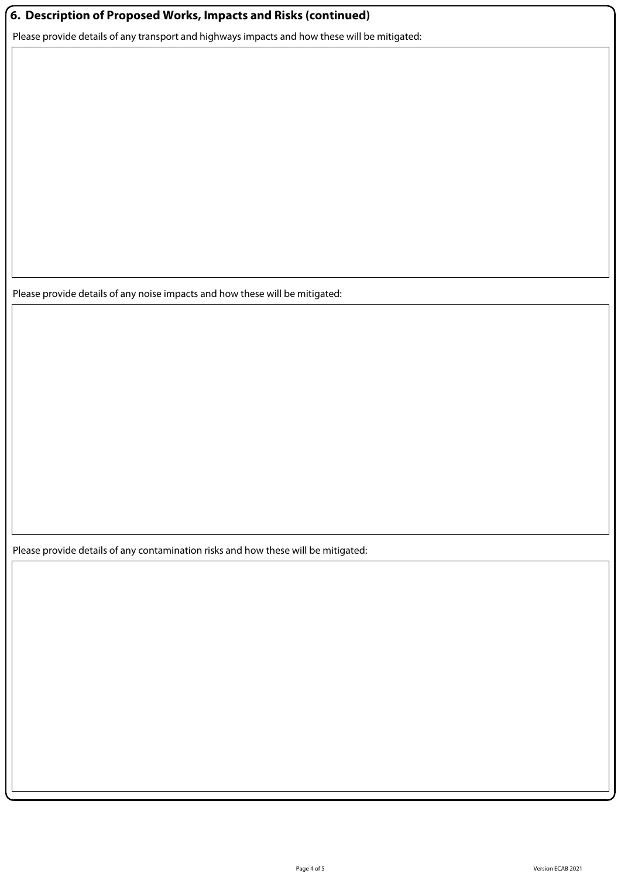## **6. Description of Proposed Works, Impacts and Risks (continued)**

Please provide details of any transport and highways impacts and how these will be mitigated:

Please provide details of any noise impacts and how these will be mitigated:

Please provide details of any contamination risks and how these will be mitigated: